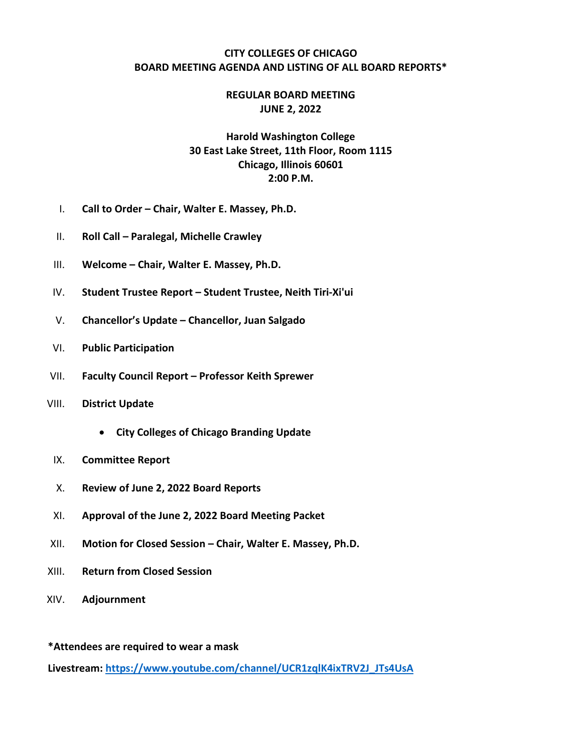### **CITY COLLEGES OF CHICAGO BOARD MEETING AGENDA AND LISTING OF ALL BOARD REPORTS\***

### **REGULAR BOARD MEETING JUNE 2, 2022**

# **Harold Washington College 30 East Lake Street, 11th Floor, Room 1115 Chicago, Illinois 60601 2:00 P.M.**

- I. **Call to Order – Chair, Walter E. Massey, Ph.D.**
- II. **Roll Call – Paralegal, Michelle Crawley**
- III. **Welcome – Chair, Walter E. Massey, Ph.D.**
- IV. **Student Trustee Report – Student Trustee, Neith Tiri-Xi'ui**
- V. **Chancellor's Update – Chancellor, Juan Salgado**
- VI. **Public Participation**
- VII. **Faculty Council Report – Professor Keith Sprewer**
- VIII. **District Update** 
	- **City Colleges of Chicago Branding Update**
- IX. **Committee Report**
- X. **Review of June 2, 2022 Board Reports**
- XI. **Approval of the June 2, 2022 Board Meeting Packet**
- XII. **Motion for Closed Session – Chair, Walter E. Massey, Ph.D.**
- XIII. **Return from Closed Session**
- XIV. **Adjournment**

**\*Attendees are required to wear a mask** 

**Livestream: https://www.youtube.com/channel/UCR1zqlK4ixTRV2J\_JTs4UsA**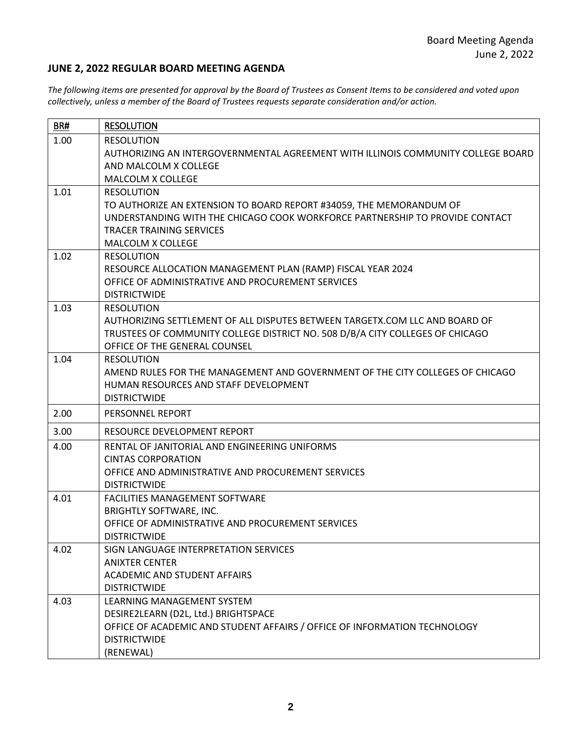### **JUNE 2, 2022 REGULAR BOARD MEETING AGENDA**

*The following items are presented for approval by the Board of Trustees as Consent Items to be considered and voted upon collectively, unless a member of the Board of Trustees requests separate consideration and/or action.*

| BR#  | <b>RESOLUTION</b>                                                                                                                                                                                                                |
|------|----------------------------------------------------------------------------------------------------------------------------------------------------------------------------------------------------------------------------------|
| 1.00 | <b>RESOLUTION</b><br>AUTHORIZING AN INTERGOVERNMENTAL AGREEMENT WITH ILLINOIS COMMUNITY COLLEGE BOARD<br>AND MALCOLM X COLLEGE<br>MALCOLM X COLLEGE                                                                              |
| 1.01 | <b>RESOLUTION</b><br>TO AUTHORIZE AN EXTENSION TO BOARD REPORT #34059, THE MEMORANDUM OF<br>UNDERSTANDING WITH THE CHICAGO COOK WORKFORCE PARTNERSHIP TO PROVIDE CONTACT<br><b>TRACER TRAINING SERVICES</b><br>MALCOLM X COLLEGE |
| 1.02 | <b>RESOLUTION</b><br>RESOURCE ALLOCATION MANAGEMENT PLAN (RAMP) FISCAL YEAR 2024<br>OFFICE OF ADMINISTRATIVE AND PROCUREMENT SERVICES<br><b>DISTRICTWIDE</b>                                                                     |
| 1.03 | <b>RESOLUTION</b><br>AUTHORIZING SETTLEMENT OF ALL DISPUTES BETWEEN TARGETX.COM LLC AND BOARD OF<br>TRUSTEES OF COMMUNITY COLLEGE DISTRICT NO. 508 D/B/A CITY COLLEGES OF CHICAGO<br>OFFICE OF THE GENERAL COUNSEL               |
| 1.04 | <b>RESOLUTION</b><br>AMEND RULES FOR THE MANAGEMENT AND GOVERNMENT OF THE CITY COLLEGES OF CHICAGO<br>HUMAN RESOURCES AND STAFF DEVELOPMENT<br><b>DISTRICTWIDE</b>                                                               |
| 2.00 | PERSONNEL REPORT                                                                                                                                                                                                                 |
| 3.00 | RESOURCE DEVELOPMENT REPORT                                                                                                                                                                                                      |
| 4.00 | RENTAL OF JANITORIAL AND ENGINEERING UNIFORMS<br><b>CINTAS CORPORATION</b><br>OFFICE AND ADMINISTRATIVE AND PROCUREMENT SERVICES<br><b>DISTRICTWIDE</b>                                                                          |
| 4.01 | FACILITIES MANAGEMENT SOFTWARE<br><b>BRIGHTLY SOFTWARE, INC.</b><br>OFFICE OF ADMINISTRATIVE AND PROCUREMENT SERVICES<br><b>DISTRICTWIDE</b>                                                                                     |
| 4.02 | SIGN LANGUAGE INTERPRETATION SERVICES<br><b>ANIXTER CENTER</b><br><b>ACADEMIC AND STUDENT AFFAIRS</b><br><b>DISTRICTWIDE</b>                                                                                                     |
| 4.03 | LEARNING MANAGEMENT SYSTEM<br>DESIRE2LEARN (D2L, Ltd.) BRIGHTSPACE<br>OFFICE OF ACADEMIC AND STUDENT AFFAIRS / OFFICE OF INFORMATION TECHNOLOGY<br><b>DISTRICTWIDE</b><br>(RENEWAL)                                              |